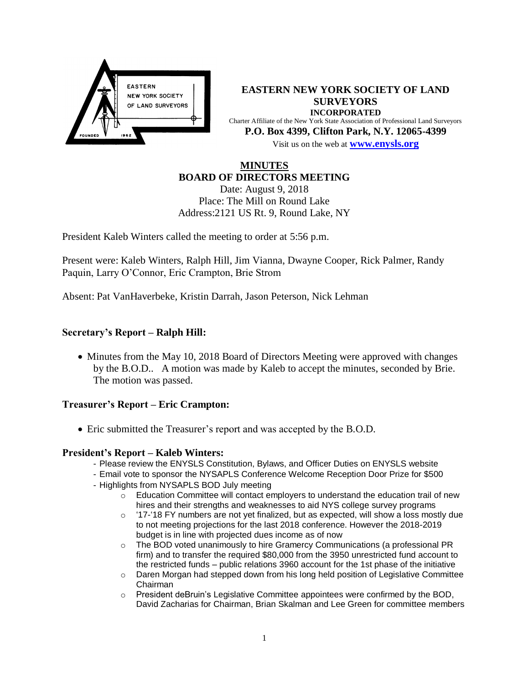

**EASTERN NEW YORK SOCIETY OF LAND SURVEYORS INCORPORATED** Charter Affiliate of the New York State Association of Professional Land Surveyors **P.O. Box 4399, Clifton Park, N.Y. 12065-4399** Visit us on the web at **[www.e](http://www.enysls.org/)nysls.org**

# **MINUTES BOARD OF DIRECTORS MEETING**

Date: August 9, 2018 Place: The Mill on Round Lake Address:2121 US Rt. 9, Round Lake, NY

President Kaleb Winters called the meeting to order at 5:56 p.m.

Present were: Kaleb Winters, Ralph Hill, Jim Vianna, Dwayne Cooper, Rick Palmer, Randy Paquin, Larry O'Connor, Eric Crampton, Brie Strom

Absent: Pat VanHaverbeke, Kristin Darrah, Jason Peterson, Nick Lehman

## **Secretary's Report – Ralph Hill:**

• Minutes from the May 10, 2018 Board of Directors Meeting were approved with changes by the B.O.D.. A motion was made by Kaleb to accept the minutes, seconded by Brie. The motion was passed.

### **Treasurer's Report – Eric Crampton:**

Eric submitted the Treasurer's report and was accepted by the B.O.D.

### **President's Report – Kaleb Winters:**

- Please review the ENYSLS Constitution, Bylaws, and Officer Duties on ENYSLS website
- Email vote to sponsor the NYSAPLS Conference Welcome Reception Door Prize for \$500 - Highlights from NYSAPLS BOD July meeting
- - $\circ$  Education Committee will contact employers to understand the education trail of new hires and their strengths and weaknesses to aid NYS college survey programs
	- $\circ$  '17-'18 FY numbers are not yet finalized, but as expected, will show a loss mostly due to not meeting projections for the last 2018 conference. However the 2018-2019 budget is in line with projected dues income as of now
	- $\circ$  The BOD voted unanimously to hire Gramercy Communications (a professional PR firm) and to transfer the required \$80,000 from the 3950 unrestricted fund account to the restricted funds – public relations 3960 account for the 1st phase of the initiative
	- o Daren Morgan had stepped down from his long held position of Legislative Committee Chairman
	- $\circ$  President deBruin's Legislative Committee appointees were confirmed by the BOD, David Zacharias for Chairman, Brian Skalman and Lee Green for committee members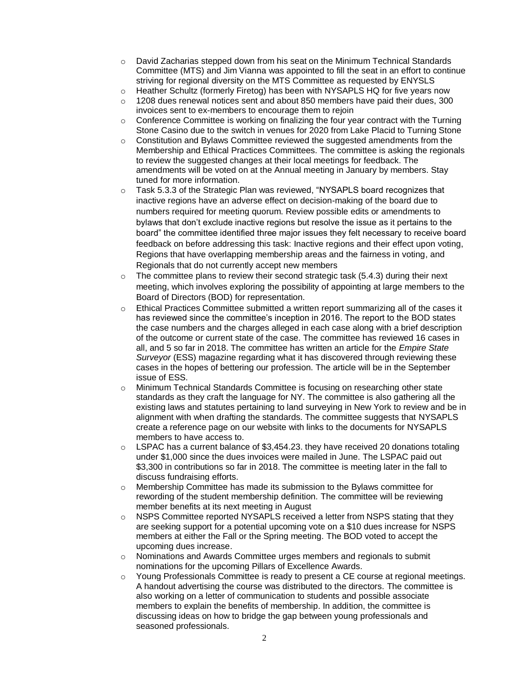- $\circ$  David Zacharias stepped down from his seat on the Minimum Technical Standards Committee (MTS) and Jim Vianna was appointed to fill the seat in an effort to continue striving for regional diversity on the MTS Committee as requested by ENYSLS
- o Heather Schultz (formerly Firetog) has been with NYSAPLS HQ for five years now
- $\circ$  1208 dues renewal notices sent and about 850 members have paid their dues, 300 invoices sent to ex-members to encourage them to rejoin
- $\circ$  Conference Committee is working on finalizing the four year contract with the Turning Stone Casino due to the switch in venues for 2020 from Lake Placid to Turning Stone
- $\circ$  Constitution and Bylaws Committee reviewed the suggested amendments from the Membership and Ethical Practices Committees. The committee is asking the regionals to review the suggested changes at their local meetings for feedback. The amendments will be voted on at the Annual meeting in January by members. Stay tuned for more information.
- o Task 5.3.3 of the Strategic Plan was reviewed, "NYSAPLS board recognizes that inactive regions have an adverse effect on decision-making of the board due to numbers required for meeting quorum. Review possible edits or amendments to bylaws that don't exclude inactive regions but resolve the issue as it pertains to the board" the committee identified three major issues they felt necessary to receive board feedback on before addressing this task: Inactive regions and their effect upon voting, Regions that have overlapping membership areas and the fairness in voting, and Regionals that do not currently accept new members
- The committee plans to review their second strategic task (5.4.3) during their next meeting, which involves exploring the possibility of appointing at large members to the Board of Directors (BOD) for representation.
- $\circ$  Ethical Practices Committee submitted a written report summarizing all of the cases it has reviewed since the committee's inception in 2016. The report to the BOD states the case numbers and the charges alleged in each case along with a brief description of the outcome or current state of the case. The committee has reviewed 16 cases in all, and 5 so far in 2018. The committee has written an article for the *Empire State Surveyor* (ESS) magazine regarding what it has discovered through reviewing these cases in the hopes of bettering our profession. The article will be in the September issue of ESS.
- o Minimum Technical Standards Committee is focusing on researching other state standards as they craft the language for NY. The committee is also gathering all the existing laws and statutes pertaining to land surveying in New York to review and be in alignment with when drafting the standards. The committee suggests that NYSAPLS create a reference page on our website with links to the documents for NYSAPLS members to have access to.
- $\circ$  LSPAC has a current balance of \$3,454.23. they have received 20 donations totaling under \$1,000 since the dues invoices were mailed in June. The LSPAC paid out \$3,300 in contributions so far in 2018. The committee is meeting later in the fall to discuss fundraising efforts.
- o Membership Committee has made its submission to the Bylaws committee for rewording of the student membership definition. The committee will be reviewing member benefits at its next meeting in August
- $\circ$  NSPS Committee reported NYSAPLS received a letter from NSPS stating that they are seeking support for a potential upcoming vote on a \$10 dues increase for NSPS members at either the Fall or the Spring meeting. The BOD voted to accept the upcoming dues increase.
- o Nominations and Awards Committee urges members and regionals to submit nominations for the upcoming Pillars of Excellence Awards.
- o Young Professionals Committee is ready to present a CE course at regional meetings. A handout advertising the course was distributed to the directors. The committee is also working on a letter of communication to students and possible associate members to explain the benefits of membership. In addition, the committee is discussing ideas on how to bridge the gap between young professionals and seasoned professionals.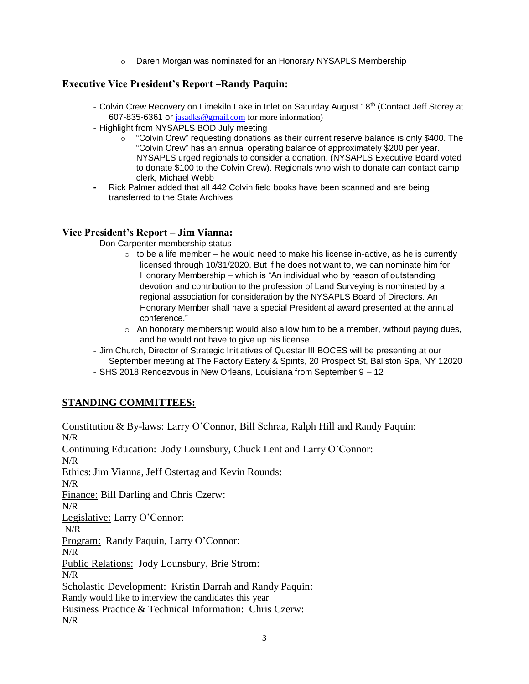o Daren Morgan was nominated for an Honorary NYSAPLS Membership

## **Executive Vice President's Report –Randy Paquin:**

- Colvin Crew Recovery on Limekiln Lake in Inlet on Saturday August 18<sup>th</sup> (Contact Jeff Storey at 607-835-6361 or [jasadks@gmail.com](mailto:jasadks@gmail.com) for more information)
- Highlight from NYSAPLS BOD July meeting
	- $\circ$  "Colvin Crew" requesting donations as their current reserve balance is only \$400. The "Colvin Crew" has an annual operating balance of approximately \$200 per year. NYSAPLS urged regionals to consider a donation. (NYSAPLS Executive Board voted to donate \$100 to the Colvin Crew). Regionals who wish to donate can contact camp clerk, Michael Webb
- **-** Rick Palmer added that all 442 Colvin field books have been scanned and are being transferred to the State Archives

## **Vice President's Report – Jim Vianna:**

- Don Carpenter membership status
	- $\circ$  to be a life member he would need to make his license in-active, as he is currently licensed through 10/31/2020. But if he does not want to, we can nominate him for Honorary Membership – which is "An individual who by reason of outstanding devotion and contribution to the profession of Land Surveying is nominated by a regional association for consideration by the NYSAPLS Board of Directors. An Honorary Member shall have a special Presidential award presented at the annual conference."
	- $\circ$  An honorary membership would also allow him to be a member, without paying dues, and he would not have to give up his license.
- Jim Church, Director of Strategic Initiatives of Questar III BOCES will be presenting at our September meeting at The Factory Eatery & Spirits, 20 Prospect St, Ballston Spa, NY 12020
- SHS 2018 Rendezvous in New Orleans, Louisiana from September 9 12

# **STANDING COMMITTEES:**

Constitution & By-laws: Larry O'Connor, Bill Schraa, Ralph Hill and Randy Paquin: N/R Continuing Education: Jody Lounsbury, Chuck Lent and Larry O'Connor: N/R Ethics: Jim Vianna, Jeff Ostertag and Kevin Rounds: N/R Finance: Bill Darling and Chris Czerw: N/R Legislative: Larry O'Connor: N/R Program: Randy Paquin, Larry O'Connor: N/R Public Relations: Jody Lounsbury, Brie Strom: N/R Scholastic Development: Kristin Darrah and Randy Paquin: Randy would like to interview the candidates this year Business Practice & Technical Information: Chris Czerw: N/R